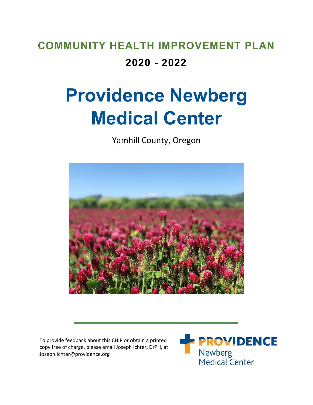## **COMMUNITY HEALTH IMPROVEMENT PLAN 2020 - 2022**

# **Providence Newberg Medical Center**

Yamhill County, Oregon



To provide feedback about this CHIP or obtain a printed copy free of charge, please email Joseph Ichter, DrPH, at Joseph.Ichter@providence.org

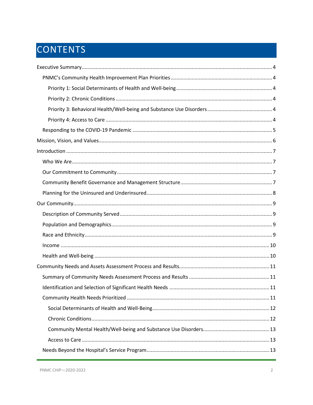## CONTENTS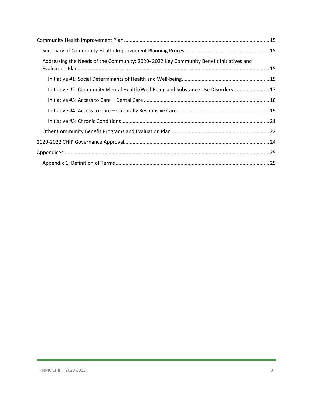| Addressing the Needs of the Community: 2020-2022 Key Community Benefit Initiatives and |  |
|----------------------------------------------------------------------------------------|--|
|                                                                                        |  |
| Initiative #2: Community Mental Health/Well-Being and Substance Use Disorders  17      |  |
|                                                                                        |  |
|                                                                                        |  |
|                                                                                        |  |
|                                                                                        |  |
|                                                                                        |  |
|                                                                                        |  |
|                                                                                        |  |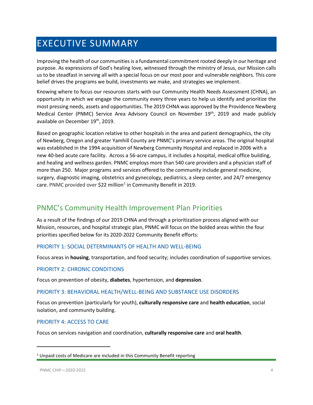## <span id="page-3-0"></span>EXECUTIVE SUMMARY

Improving the health of our communities is a fundamental commitment rooted deeply in our heritage and purpose. As expressions of God's healing love, witnessed through the ministry of Jesus, our Mission calls us to be steadfast in serving all with a special focus on our most poor and vulnerable neighbors. This core belief drives the programs we build, investments we make, and strategies we implement.

Knowing where to focus our resources starts with our Community Health Needs Assessment (CHNA), an opportunity in which we engage the community every three years to help us identify and prioritize the most pressing needs, assets and opportunities. The 2019 CHNA was approved by the Providence Newberg Medical Center (PNMC) Service Area Advisory Council on November 19<sup>th</sup>, 2019 and made publicly available on December 19th, 2019.

Based on geographic location relative to other hospitals in the area and patient demographics, the city of Newberg, Oregon and greater Yamhill County are PNMC's primary service areas. The original hospital was established in the 1994 acquisition of Newberg Community Hospital and replaced in 2006 with a new 40-bed acute care facility. Across a 56-acre campus, it includes a hospital, medical office building, and healing and wellness garden. PNMC employs more than 540 care providers and a physician staff of more than 250. Major programs and services offered to the community include general medicine, surgery, diagnostic imaging, obstetrics and gynecology, pediatrics, a sleep center, and 24/7 emergency care. PNMC provided over \$22 million<sup>[1](#page-3-6)</sup> in Community Benefit in 2019.

## <span id="page-3-1"></span>PNMC's Community Health Improvement Plan Priorities

As a result of the findings of our 2019 CHNA and through a prioritization process aligned with our Mission, resources, and hospital strategic plan, PNMC will focus on the bolded areas within the four priorities specified below for its 2020-2022 Community Benefit efforts:

#### <span id="page-3-2"></span>PRIORITY 1: SOCIAL DETERMINANTS OF HEALTH AND WELL-BEING

Focus areas in **housing**, transportation, and food security; includes coordination of supportive services.

#### <span id="page-3-3"></span>PRIORITY 2: CHRONIC CONDITIONS

Focus on prevention of obesity, **diabetes**, hypertension, and **depression**.

#### <span id="page-3-4"></span>PRIORITY 3: BEHAVIORAL HEALTH/WELL-BEING AND SUBSTANCE USE DISORDERS

Focus on prevention (particularly for youth), **culturally responsive care** and **health education**, social isolation, and community building.

#### <span id="page-3-5"></span>PRIORITY 4: ACCESS TO CARE

Focus on services navigation and coordination, **culturally responsive care** and **oral health**.

 $\overline{\phantom{a}}$ 

<span id="page-3-6"></span> $1$  Unpaid costs of Medicare are included in this Community Benefit reporting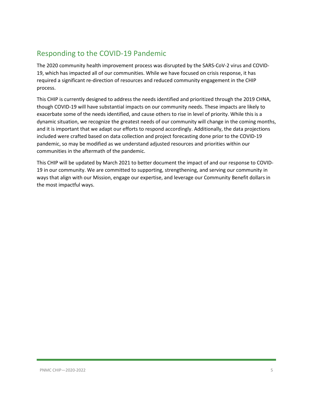## <span id="page-4-0"></span>Responding to the COVID-19 Pandemic

The 2020 community health improvement process was disrupted by the SARS-CoV-2 virus and COVID-19, which has impacted all of our communities. While we have focused on crisis response, it has required a significant re-direction of resources and reduced community engagement in the CHIP process.

This CHIP is currently designed to address the needs identified and prioritized through the 2019 CHNA, though COVID-19 will have substantial impacts on our community needs. These impacts are likely to exacerbate some of the needs identified, and cause others to rise in level of priority. While this is a dynamic situation, we recognize the greatest needs of our community will change in the coming months, and it is important that we adapt our efforts to respond accordingly. Additionally, the data projections included were crafted based on data collection and project forecasting done prior to the COVID-19 pandemic, so may be modified as we understand adjusted resources and priorities within our communities in the aftermath of the pandemic.

This CHIP will be updated by March 2021 to better document the impact of and our response to COVID-19 in our community. We are committed to supporting, strengthening, and serving our community in ways that align with our Mission, engage our expertise, and leverage our Community Benefit dollars in the most impactful ways.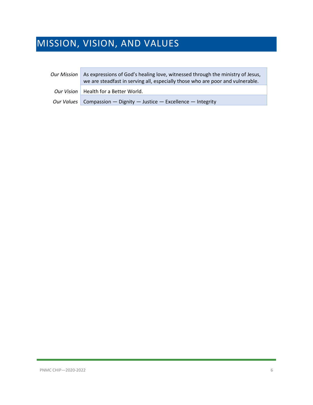## <span id="page-5-0"></span>MISSION, VISION, AND VALUES

| <b>Our Mission</b> | As expressions of God's healing love, witnessed through the ministry of Jesus,<br>we are steadfast in serving all, especially those who are poor and vulnerable. |
|--------------------|------------------------------------------------------------------------------------------------------------------------------------------------------------------|
|                    | Our Vision   Health for a Better World.                                                                                                                          |
|                    | Our Values   Compassion — Dignity — Justice — Excellence — Integrity                                                                                             |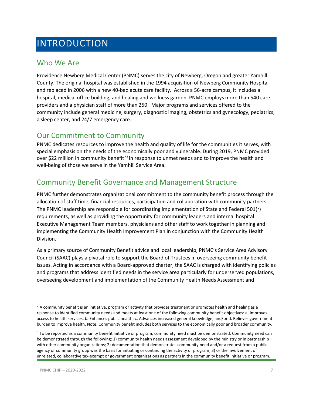## <span id="page-6-0"></span>INTRODUCTION

### <span id="page-6-1"></span>Who We Are

Providence Newberg Medical Center (PNMC) serves the city of Newberg, Oregon and greater Yamhill County. The original hospital was established in the 1994 acquisition of Newberg Community Hospital and replaced in 2006 with a new 40-bed acute care facility. Across a 56-acre campus, it includes a hospital, medical office building, and healing and wellness garden. PNMC employs more than 540 care providers and a physician staff of more than 250. Major programs and services offered to the community include general medicine, surgery, diagnostic imaging, obstetrics and gynecology, pediatrics, a sleep center, and 24/7 emergency care.

### <span id="page-6-2"></span>Our Commitment to Community

PNMC dedicates resources to improve the health and quality of life for the communities it serves, with special emphasis on the needs of the economically poor and vulnerable. During 2019, PNMC provided over \$[2](#page-6-4)2 million in community benefit<sup>2[3](#page-6-5)</sup> in response to unmet needs and to improve the health and well-being of those we serve in the Yamhill Service Area.

### <span id="page-6-3"></span>Community Benefit Governance and Management Structure

PNMC further demonstrates organizational commitment to the community benefit process through the allocation of staff time, financial resources, participation and collaboration with community partners. The PNMC leadership are responsible for coordinating implementation of State and Federal 501(r) requirements, as well as providing the opportunity for community leaders and internal hospital Executive Management Team members, physicians and other staff to work together in planning and implementing the Community Health Improvement Plan in conjunction with the Community Health Division.

As a primary source of Community Benefit advice and local leadership, PNMC's Service Area Advisory Council (SAAC) plays a pivotal role to support the Board of Trustees in overseeing community benefit issues. Acting in accordance with a Board-approved charter, the SAAC is charged with identifying policies and programs that address identified needs in the service area particularly for underserved populations, overseeing development and implementation of the Community Health Needs Assessment and

 $\overline{\phantom{a}}$ 

<span id="page-6-4"></span> $2$  A community benefit is an initiative, program or activity that provides treatment or promotes health and healing as a response to identified community needs and meets at least one of the following community benefit objectives: a. Improves access to health services; b. Enhances public health; c. Advances increased general knowledge; and/or d. Relieves government burden to improve health. Note: Community benefit includes both services to the economically poor and broader community.

<span id="page-6-5"></span> $3$  To be reported as a community benefit initiative or program, community need must be demonstrated. Community need can be demonstrated through the following: 1) community health needs assessment developed by the ministry or in partnership with other community organizations; 2) documentation that demonstrates community need and/or a request from a public agency or community group was the basis for initiating or continuing the activity or program; 3) or the involvement of unrelated, collaborative tax-exempt or government organizations as partners in the community benefit initiative or program.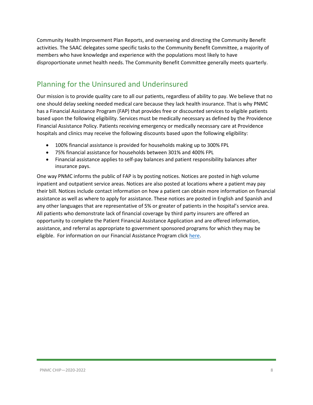Community Health Improvement Plan Reports, and overseeing and directing the Community Benefit activities. The SAAC delegates some specific tasks to the Community Benefit Committee, a majority of members who have knowledge and experience with the populations most likely to have disproportionate unmet health needs. The Community Benefit Committee generally meets quarterly.

## <span id="page-7-0"></span>Planning for the Uninsured and Underinsured

Our mission is to provide quality care to all our patients, regardless of ability to pay. We believe that no one should delay seeking needed medical care because they lack health insurance. That is why PNMC has a Financial Assistance Program (FAP) that provides free or discounted services to eligible patients based upon the following eligibility. Services must be medically necessary as defined by the Providence Financial Assistance Policy. Patients receiving emergency or medically necessary care at Providence hospitals and clinics may receive the following discounts based upon the following eligibility:

- 100% financial assistance is provided for households making up to 300% FPL
- 75% financial assistance for households between 301% and 400% FPL
- Financial assistance applies to self-pay balances and patient responsibility balances after insurance pays.

One way PNMC informs the public of FAP is by posting notices. Notices are posted in high volume inpatient and outpatient service areas. Notices are also posted at locations where a patient may pay their bill. Notices include contact information on how a patient can obtain more information on financial assistance as well as where to apply for assistance. These notices are posted in English and Spanish and any other languages that are representative of 5% or greater of patients in the hospital's service area. All patients who demonstrate lack of financial coverage by third party insurers are offered an opportunity to complete the Patient Financial Assistance Application and are offered information, assistance, and referral as appropriate to government sponsored programs for which they may be eligible. For information on our Financial Assistance Program click [here.](https://www.providence.org/obp/or/financial-assistance)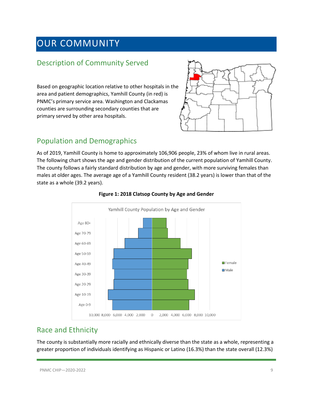## <span id="page-8-0"></span>OUR COMMUNITY

## <span id="page-8-1"></span>Description of Community Served

Based on geographic location relative to other hospitals in the area and patient demographics, Yamhill County (in red) is PNMC's primary service area. Washington and Clackamas counties are surrounding secondary counties that are primary served by other area hospitals.



## <span id="page-8-2"></span>Population and Demographics

As of 2019, Yamhill County is home to approximately 106,906 people, 23% of whom live in rural areas. The following chart shows the age and gender distribution of the current population of Yamhill County. The county follows a fairly standard distribution by age and gender, with more surviving females than males at older ages. The average age of a Yamhill County resident (38.2 years) is lower than that of the state as a whole (39.2 years).



#### **Figure 1: 2018 Clatsop County by Age and Gender**

## <span id="page-8-3"></span>Race and Ethnicity

The county is substantially more racially and ethnically diverse than the state as a whole, representing a greater proportion of individuals identifying as Hispanic or Latino (16.3%) than the state overall (12.3%)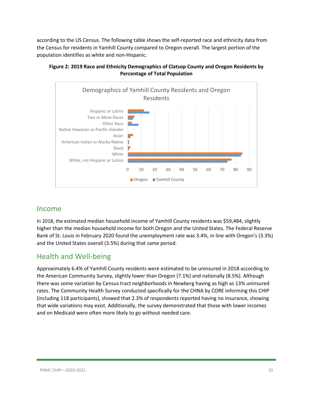according to the US Census. The following table shows the self-reported race and ethnicity data from the Census for residents in Yamhill County compared to Oregon overall. The largest portion of the population identifies as white and non-Hispanic.



#### **Figure 2: 2019 Race and Ethnicity Demographics of Clatsop County and Oregon Residents by Percentage of Total Population**

### <span id="page-9-0"></span>Income

In 2018, the estimated median household income of Yamhill County residents was \$59,484, slightly higher than the median household income for both Oregon and the United States. The Federal Reserve Bank of St. Louis in February 2020 found the unemployment rate was 3.4%, in line with Oregon's (3.3%) and the United States overall (3.5%) during that same period.

## <span id="page-9-1"></span>Health and Well-being

Approximately 6.4% of Yamhill County residents were estimated to be uninsured in 2018 according to the American Community Survey, slightly lower than Oregon (7.1%) and nationally (8.5%). Although there was some variation by Census tract neighborhoods in Newberg having as high as 13% uninsured rates. The Community Health Survey conducted specifically for the CHNA by CORE informing this CHIP (including 118 participants), showed that 2.3% of respondents reported having no insurance, showing that wide variations may exist. Additionally, the survey demonstrated that those with lower incomes and on Medicaid were often more likely to go without needed care.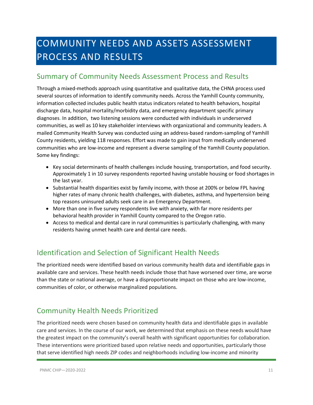## <span id="page-10-0"></span>COMMUNITY NEEDS AND ASSETS ASSESSMENT PROCESS AND RESULTS

### <span id="page-10-1"></span>Summary of Community Needs Assessment Process and Results

Through a mixed-methods approach using quantitative and qualitative data, the CHNA process used several sources of information to identify community needs. Across the Yamhill County community, information collected includes public health status indicators related to health behaviors, hospital discharge data, hospital mortality/morbidity data, and emergency department specific primary diagnoses. In addition, two listening sessions were conducted with individuals in underserved communities, as well as 10 key stakeholder interviews with organizational and community leaders. A mailed Community Health Survey was conducted using an address-based random-sampling of Yamhill County residents, yielding 118 responses. Effort was made to gain input from medically underserved communities who are low-income and represent a diverse sampling of the Yamhill County population. Some key findings:

- Key social determinants of health challenges include housing, transportation, and food security. Approximately 1 in 10 survey respondents reported having unstable housing or food shortages in the last year.
- Substantial health disparities exist by family income, with those at 200% or below FPL having higher rates of many chronic health challenges, with diabetes, asthma, and hypertension being top reasons uninsured adults seek care in an Emergency Department.
- More than one in five survey respondents live with anxiety, with far more residents per behavioral health provider in Yamhill County compared to the Oregon ratio.
- Access to medical and dental care in rural communities is particularly challenging, with many residents having unmet health care and dental care needs.

## <span id="page-10-2"></span>Identification and Selection of Significant Health Needs

The prioritized needs were identified based on various community health data and identifiable gaps in available care and services. These health needs include those that have worsened over time, are worse than the state or national average, or have a disproportionate impact on those who are low-income, communities of color, or otherwise marginalized populations.

## <span id="page-10-3"></span>Community Health Needs Prioritized

The prioritized needs were chosen based on community health data and identifiable gaps in available care and services. In the course of our work, we determined that emphasis on these needs would have the greatest impact on the community's overall health with significant opportunities for collaboration. These interventions were prioritized based upon relative needs and opportunities, particularly those that serve identified high needs ZIP codes and neighborhoods including low-income and minority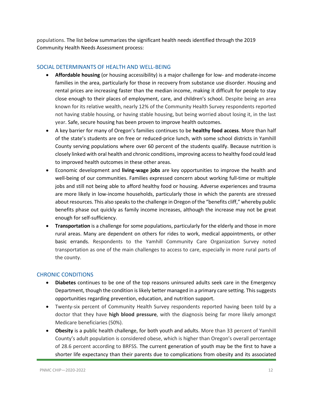populations. The list below summarizes the significant health needs identified through the 2019 Community Health Needs Assessment process:

#### <span id="page-11-0"></span>SOCIAL DETERMINANTS OF HEALTH AND WELL-BEING

- **Affordable housing** (or housing accessibility) is a major challenge for low- and moderate-income families in the area, particularly for those in recovery from substance use disorder. Housing and rental prices are increasing faster than the median income, making it difficult for people to stay close enough to their places of employment, care, and children's school. Despite being an area known for its relative wealth, nearly 12% of the Community Health Survey respondents reported not having stable housing, or having stable housing, but being worried about losing it, in the last year. Safe, secure housing has been proven to improve health outcomes.
- A key barrier for many of Oregon's families continues to be **healthy food access**. More than half of the state's students are on free or reduced-price lunch, with some school districts in Yamhill County serving populations where over 60 percent of the students qualify. Because nutrition is closely linked with oral health and chronic conditions, improving access to healthy food could lead to improved health outcomes in these other areas.
- Economic development and **living-wage jobs** are key opportunities to improve the health and well-being of our communities. Families expressed concern about working full-time or multiple jobs and still not being able to afford healthy food or housing. Adverse experiences and trauma are more likely in low-income households, particularly those in which the parents are stressed about resources. This also speaks to the challenge in Oregon of the "benefits cliff," whereby public benefits phase out quickly as family income increases, although the increase may not be great enough for self-sufficiency.
- **Transportation** is a challenge for some populations, particularly for the elderly and those in more rural areas. Many are dependent on others for rides to work, medical appointments, or other basic errands. Respondents to the Yamhill Community Care Organization Survey noted transportation as one of the main challenges to access to care, especially in more rural parts of the county.

#### <span id="page-11-1"></span>CHRONIC CONDITIONS

- **Diabetes** continues to be one of the top reasons uninsured adults seek care in the Emergency Department, though the condition is likely better managed in a primary care setting. This suggests opportunities regarding prevention, education, and nutrition support.
- Twenty-six percent of Community Health Survey respondents reported having been told by a doctor that they have **high blood pressure**, with the diagnosis being far more likely amongst Medicare beneficiaries (50%).
- **Obesity** is a public health challenge, for both youth and adults. More than 33 percent of Yamhill County's adult population is considered obese, which is higher than Oregon's overall percentage of 28.6 percent according to BRFSS. The current generation of youth may be the first to have a shorter life expectancy than their parents due to complications from obesity and its associated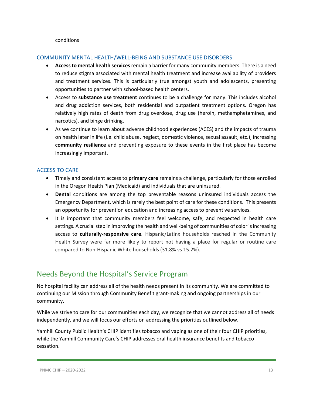#### conditions

#### <span id="page-12-0"></span>COMMUNITY MENTAL HEALTH/WELL-BEING AND SUBSTANCE USE DISORDERS

- **Access to mental health services**remain a barrier for many community members. There is a need to reduce stigma associated with mental health treatment and increase availability of providers and treatment services. This is particularly true amongst youth and adolescents, presenting opportunities to partner with school-based health centers.
- Access to **substance use treatment** continues to be a challenge for many. This includes alcohol and drug addiction services, both residential and outpatient treatment options. Oregon has relatively high rates of death from drug overdose, drug use (heroin, methamphetamines, and narcotics), and binge drinking.
- As we continue to learn about adverse childhood experiences (ACES) and the impacts of trauma on health later in life (i.e. child abuse, neglect, domestic violence, sexual assault, etc.), increasing **community resilience** and preventing exposure to these events in the first place has become increasingly important.

#### <span id="page-12-1"></span>ACCESS TO CARE

- Timely and consistent access to **primary care** remains a challenge, particularly for those enrolled in the Oregon Health Plan (Medicaid) and individuals that are uninsured.
- **Dental** conditions are among the top preventable reasons uninsured individuals access the Emergency Department, which is rarely the best point of care for these conditions. This presents an opportunity for prevention education and increasing access to preventive services.
- It is important that community members feel welcome, safe, and respected in health care settings. A crucial step in improving the health and well-being of communities of color is increasing access to **culturally-responsive care**. Hispanic/Latinx households reached in the Community Health Survey were far more likely to report not having a place for regular or routine care compared to Non-Hispanic White households (31.8% vs 15.2%).

### <span id="page-12-2"></span>Needs Beyond the Hospital's Service Program

No hospital facility can address all of the health needs present in its community. We are committed to continuing our Mission through Community Benefit grant-making and ongoing partnerships in our community.

While we strive to care for our communities each day, we recognize that we cannot address all of needs independently, and we will focus our efforts on addressing the priorities outlined below.

Yamhill County Public Health's CHIP identifies tobacco and vaping as one of their four CHIP priorities, while the Yamhill Community Care's CHIP addresses oral health insurance benefits and tobacco cessation.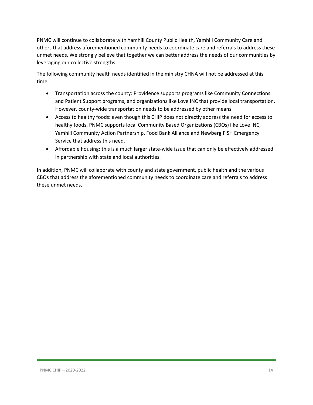PNMC will continue to collaborate with Yamhill County Public Health, Yamhill Community Care and others that address aforementioned community needs to coordinate care and referrals to address these unmet needs. We strongly believe that together we can better address the needs of our communities by leveraging our collective strengths.

The following community health needs identified in the ministry CHNA will not be addressed at this time:

- Transportation across the county: Providence supports programs like Community Connections and Patient Support programs, and organizations like Love INC that provide local transportation. However, county-wide transportation needs to be addressed by other means.
- Access to healthy foods: even though this CHIP does not directly address the need for access to healthy foods, PNMC supports local Community Based Organizations (CBOs) like Love INC, Yamhill Community Action Partnership, Food Bank Alliance and Newberg FISH Emergency Service that address this need.
- Affordable housing: this is a much larger state-wide issue that can only be effectively addressed in partnership with state and local authorities.

In addition, PNMC will collaborate with county and state government, public health and the various CBOs that address the aforementioned community needs to coordinate care and referrals to address these unmet needs.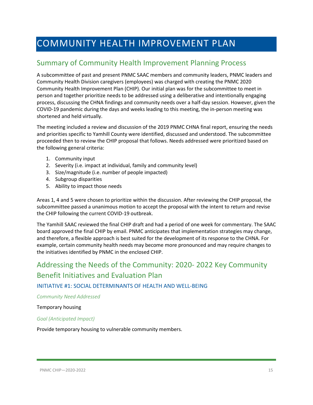## <span id="page-14-0"></span>COMMUNITY HEALTH IMPROVEMENT PLAN

## <span id="page-14-1"></span>Summary of Community Health Improvement Planning Process

A subcommittee of past and present PNMC SAAC members and community leaders, PNMC leaders and Community Health Division caregivers (employees) was charged with creating the PNMC 2020 Community Health Improvement Plan (CHIP). Our initial plan was for the subcommittee to meet in person and together prioritize needs to be addressed using a deliberative and intentionally engaging process, discussing the CHNA findings and community needs over a half-day session. However, given the COVID-19 pandemic during the days and weeks leading to this meeting, the in-person meeting was shortened and held virtually.

The meeting included a review and discussion of the 2019 PNMC CHNA final report, ensuring the needs and priorities specific to Yamhill County were identified, discussed and understood. The subcommittee proceeded then to review the CHIP proposal that follows. Needs addressed were prioritized based on the following general criteria:

- 1. Community input
- 2. Severity (i.e. impact at individual, family and community level)
- 3. Size/magnitude (i.e. number of people impacted)
- 4. Subgroup disparities
- 5. Ability to impact those needs

Areas 1, 4 and 5 were chosen to prioritize within the discussion. After reviewing the CHIP proposal, the subcommittee passed a unanimous motion to accept the proposal with the intent to return and revise the CHIP following the current COVID-19 outbreak.

The Yamhill SAAC reviewed the final CHIP draft and had a period of one week for commentary. The SAAC board approved the final CHIP by email. PNMC anticipates that implementation strategies may change, and therefore, a flexible approach is best suited for the development of its response to the CHNA. For example, certain community health needs may become more pronounced and may require changes to the initiatives identified by PNMC in the enclosed CHIP.

## <span id="page-14-2"></span>Addressing the Needs of the Community: 2020- 2022 Key Community Benefit Initiatives and Evaluation Plan

#### <span id="page-14-3"></span>INITIATIVE #1: SOCIAL DETERMINANTS OF HEALTH AND WELL-BEING

*Community Need Addressed*

#### Temporary housing

#### *Goal (Anticipated Impact)*

Provide temporary housing to vulnerable community members.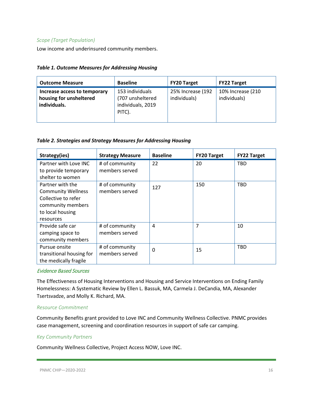#### *Scope (Target Population)*

Low income and underinsured community members.

| <b>Table 1. Outcome Measures for Addressing Housing</b> |  |  |  |
|---------------------------------------------------------|--|--|--|
|---------------------------------------------------------|--|--|--|

| <b>Outcome Measure</b>                                                  | <b>Baseline</b>                                                    | <b>FY20 Target</b>                | <b>FY22 Target</b>                |
|-------------------------------------------------------------------------|--------------------------------------------------------------------|-----------------------------------|-----------------------------------|
| Increase access to temporary<br>housing for unsheltered<br>individuals. | 153 individuals<br>(707 unsheltered<br>individuals, 2019<br>PITC). | 25% Increase (192<br>individuals) | 10% Increase (210<br>individuals) |

#### *Table 2. Strategies and Strategy Measures for Addressing Housing*

| Strategy(ies)             | <b>Strategy Measure</b> | <b>Baseline</b> | <b>FY20 Target</b> | <b>FY22 Target</b> |
|---------------------------|-------------------------|-----------------|--------------------|--------------------|
| Partner with Love INC     | # of community          | 22              | 20                 | <b>TBD</b>         |
| to provide temporary      | members served          |                 |                    |                    |
| shelter to women          |                         |                 |                    |                    |
| Partner with the          | # of community          | 127             | 150                | <b>TBD</b>         |
| <b>Community Wellness</b> | members served          |                 |                    |                    |
| Collective to refer       |                         |                 |                    |                    |
| community members         |                         |                 |                    |                    |
| to local housing          |                         |                 |                    |                    |
| resources                 |                         |                 |                    |                    |
| Provide safe car          | # of community          | 4               | 7                  | 10                 |
| camping space to          | members served          |                 |                    |                    |
| community members         |                         |                 |                    |                    |
| Pursue onsite             | # of community          | $\mathbf{0}$    | 15                 | <b>TBD</b>         |
| transitional housing for  | members served          |                 |                    |                    |
| the medically fragile     |                         |                 |                    |                    |

#### Evidence Based Sources

The Effectiveness of Housing Interventions and Housing and Service Interventions on Ending Family Homelessness: A Systematic Review by Ellen L. Bassuk, MA, Carmela J. DeCandia, MA, Alexander Tsertsvadze, and Molly K. Richard, MA.

#### *Resour*c*e Commitment*

Community Benefits grant provided to Love INC and Community Wellness Collective. PNMC provides case management, screening and coordination resources in support of safe car camping.

#### *Key Community Partners*

Community Wellness Collective, Project Access NOW, Love INC.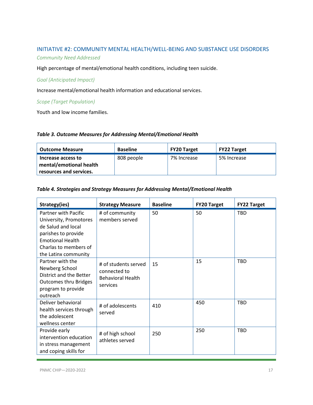#### <span id="page-16-0"></span>INITIATIVE #2: COMMUNITY MENTAL HEALTH/WELL-BEING AND SUBSTANCE USE DISORDERS

#### *Community Need Addressed*

High percentage of mental/emotional health conditions, including teen suicide.

#### *Goal (Anticipated Impact)*

Increase mental/emotional health information and educational services.

#### *Scope (Target Population)*

Youth and low income families.

#### *Table 3. Outcome Measures for Addressing Mental/Emotional Health*

| <b>Outcome Measure</b>                                                   | <b>Baseline</b> | <b>FY20 Target</b> | <b>FY22 Target</b> |
|--------------------------------------------------------------------------|-----------------|--------------------|--------------------|
| Increase access to<br>mental/emotional health<br>resources and services. | 808 people      | 7% Increase        | 5% Increase        |

#### *Table 4. Strategies and Strategy Measures for Addressing Mental/Emotional Health*

| Strategy(ies)                                                                                                                                                                  | <b>Strategy Measure</b>                                                      | <b>Baseline</b> | <b>FY20 Target</b> | <b>FY22 Target</b> |
|--------------------------------------------------------------------------------------------------------------------------------------------------------------------------------|------------------------------------------------------------------------------|-----------------|--------------------|--------------------|
| <b>Partner with Pacific</b><br>University, Promotores<br>de Salud and local<br>parishes to provide<br><b>Emotional Health</b><br>Charlas to members of<br>the Latinx community | # of community<br>members served                                             | 50              | 50                 | TBD                |
| Partner with the<br>Newberg School<br>District and the Better<br><b>Outcomes thru Bridges</b><br>program to provide<br>outreach                                                | # of students served<br>connected to<br><b>Behavioral Health</b><br>services | 15              | 15                 | TBD                |
| Deliver behavioral<br>health services through<br>the adolescent<br>wellness center                                                                                             | # of adolescents<br>served                                                   | 410             | 450                | TBD                |
| Provide early<br>intervention education<br>in stress management<br>and coping skills for                                                                                       | # of high school<br>athletes served                                          | 250             | 250                | <b>TBD</b>         |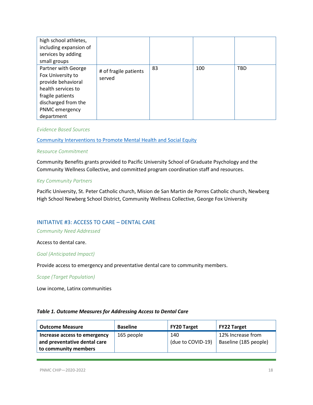| high school athletes,<br>including expansion of<br>services by adding<br>small groups                                                                           |                                 |    |     |            |
|-----------------------------------------------------------------------------------------------------------------------------------------------------------------|---------------------------------|----|-----|------------|
| Partner with George<br>Fox University to<br>provide behavioral<br>health services to<br>fragile patients<br>discharged from the<br>PNMC emergency<br>department | # of fragile patients<br>served | 83 | 100 | <b>TBD</b> |

#### *Evidence Based Sources*

[Community Interventions to Promote Mental Health and Social Equity](https://www.ncbi.nlm.nih.gov/pmc/articles/PMC6440941/)

#### *Resource Commitment*

Community Benefits grants provided to Pacific University School of Graduate Psychology and the Community Wellness Collective, and committed program coordination staff and resources.

#### *Key Community Partners*

Pacific University, St. Peter Catholic church, Mision de San Martin de Porres Catholic church, Newberg High School Newberg School District, Community Wellness Collective, George Fox University

#### <span id="page-17-0"></span>INITIATIVE #3: ACCESS TO CARE – DENTAL CARE

#### *Community Need Addressed*

Access to dental care.

*Goal (Anticipated Impact)*

Provide access to emergency and preventative dental care to community members.

*Scope (Target Population)*

Low income, Latinx communities

#### *Table 1. Outcome Measures for Addressing Access to Dental Care*

| <b>Outcome Measure</b>                                                               | <b>Baseline</b> | FY20 Target              | <b>FY22 Target</b>                         |
|--------------------------------------------------------------------------------------|-----------------|--------------------------|--------------------------------------------|
| Increase access to emergency<br>and preventative dental care<br>to community members | 165 people      | 140<br>(due to COVID-19) | 12% Increase from<br>Baseline (185 people) |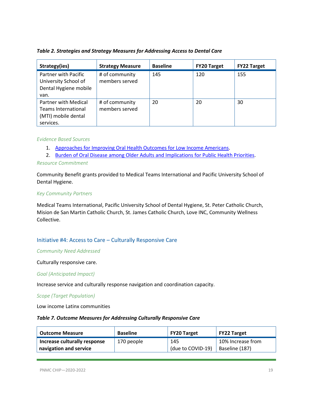#### *Table 2. Strategies and Strategy Measures for Addressing Access to Dental Care*

| Strategy(ies)                                                                          | <b>Strategy Measure</b>          | <b>Baseline</b> | <b>FY20 Target</b> | <b>FY22 Target</b> |
|----------------------------------------------------------------------------------------|----------------------------------|-----------------|--------------------|--------------------|
| Partner with Pacific<br>University School of<br>Dental Hygiene mobile<br>van.          | # of community<br>members served | 145             | 120                | 155                |
| Partner with Medical<br><b>Teams International</b><br>(MTI) mobile dental<br>services. | # of community<br>members served | 20              | 20                 | 30                 |

#### *Evidence Based Sources*

- 1. [Approaches for Improving Oral Health Outcomes for Low Income Americans.](https://www.astho.org/StatePublicHealth/Approaches-for-Improving-Oral-Healthcare-for-Low-Income-Americans/11-15-18/)
- 2. [Burden of Oral Disease among Older Adults and Implications for Public Health Priorities.](https://www.ncbi.nlm.nih.gov/pmc/articles/PMC3487659/)

#### *Resource Commitment*

Community Benefit grants provided to Medical Teams International and Pacific University School of Dental Hygiene.

#### *Key Community Partners*

Medical Teams International, Pacific University School of Dental Hygiene, St. Peter Catholic Church, Mision de San Martin Catholic Church, St. James Catholic Church, Love INC, Community Wellness Collective.

#### <span id="page-18-0"></span>Initiative #4: Access to Care – Culturally Responsive Care

#### *Community Need Addressed*

#### Culturally responsive care.

#### *Goal (Anticipated Impact)*

Increase service and culturally response navigation and coordination capacity.

#### *Scope (Target Population)*

Low income Latinx communities

#### *Table 7. Outcome Measures for Addressing Culturally Responsive Care*

| <b>Outcome Measure</b>       | <b>Baseline</b> | FY20 Target       | <b>FY22 Target</b> |
|------------------------------|-----------------|-------------------|--------------------|
| Increase culturally response | 170 people      | 145               | 10% Increase from  |
| navigation and service       |                 | (due to COVID-19) | Baseline (187)     |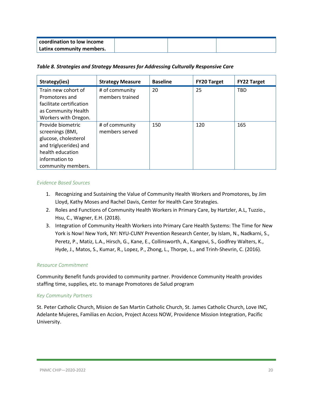| coordination to low income |  |  |
|----------------------------|--|--|
| Latinx community members.  |  |  |

#### *Table 8. Strategies and Strategy Measures for Addressing Culturally Responsive Care*

| Strategy(ies)            | <b>Strategy Measure</b> | <b>Baseline</b> | <b>FY20 Target</b> | <b>FY22 Target</b> |
|--------------------------|-------------------------|-----------------|--------------------|--------------------|
| Train new cohort of      | # of community          | 20              | 25                 | <b>TBD</b>         |
| Promotores and           | members trained         |                 |                    |                    |
| facilitate certification |                         |                 |                    |                    |
| as Community Health      |                         |                 |                    |                    |
| Workers with Oregon.     |                         |                 |                    |                    |
| Provide biometric        | # of community          | 150             | 120                | 165                |
| screenings (BMI,         | members served          |                 |                    |                    |
| glucose, cholesterol     |                         |                 |                    |                    |
| and triglycerides) and   |                         |                 |                    |                    |
| health education         |                         |                 |                    |                    |
| information to           |                         |                 |                    |                    |
| community members.       |                         |                 |                    |                    |

#### *Evidence Based Sources*

- 1. Recognizing and Sustaining the Value of Community Health Workers and Promotores, by Jim Lloyd, Kathy Moses and Rachel Davis, Center for Health Care Strategies.
- 2. Roles and Functions of Community Health Workers in Primary Care, by Hartzler, A.L, Tuzzio., Hsu, C., Wagner, E.H. (2018).
- 3. Integration of Community Health Workers into Primary Care Health Systems: The Time for New York is Now! New York, NY: NYU-CUNY Prevention Research Center, by Islam, N., Nadkarni, S., Peretz, P., Matiz, L.A., Hirsch, G., Kane, E., Collinsworth, A., Kangovi, S., Godfrey Walters, K., Hyde, J., Matos, S., Kumar, R., Lopez, P., Zhong, L., Thorpe, L., and Trinh-Shevrin, C. (2016).

#### *Resource Commitment*

Community Benefit funds provided to community partner. Providence Community Health provides staffing time, supplies, etc. to manage Promotores de Salud program

#### *Key Community Partners*

St. Peter Catholic Church, Mision de San Martin Catholic Church, St. James Catholic Church, Love INC, Adelante Mujeres, Familias en Accion, Project Access NOW, Providence Mission Integration, Pacific University.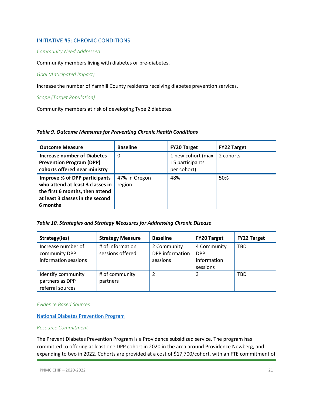#### <span id="page-20-0"></span>INITIATIVE #5: CHRONIC CONDITIONS

#### *Community Need Addressed*

Community members living with diabetes or pre-diabetes.

#### *Goal (Anticipated Impact)*

Increase the number of Yamhill County residents receiving diabetes prevention services.

*Scope (Target Population)*

Community members at risk of developing Type 2 diabetes.

#### *Table 9. Outcome Measures for Preventing Chronic Health Conditions*

| <b>Outcome Measure</b>                                                                                                                               | <b>Baseline</b>         | <b>FY20 Target</b>                                  | <b>FY22 Target</b> |
|------------------------------------------------------------------------------------------------------------------------------------------------------|-------------------------|-----------------------------------------------------|--------------------|
| <b>Increase number of Diabetes</b><br><b>Prevention Program (DPP)</b><br>cohorts offered near ministry                                               | $\Omega$                | 1 new cohort (max<br>15 participants<br>per cohort) | 2 cohorts          |
| Improve % of DPP participants<br>who attend at least 3 classes in<br>the first 6 months, then attend<br>at least 3 classes in the second<br>6 months | 47% in Oregon<br>region | 48%                                                 | 50%                |

#### *Table 10. Strategies and Strategy Measures for Addressing Chronic Disease*

| Strategy(ies)                                               | <b>Strategy Measure</b>              | <b>Baseline</b>                            | <b>FY20 Target</b>                                   | <b>FY22 Target</b> |
|-------------------------------------------------------------|--------------------------------------|--------------------------------------------|------------------------------------------------------|--------------------|
| Increase number of<br>community DPP<br>information sessions | # of information<br>sessions offered | 2 Community<br>DPP information<br>sessions | 4 Community<br><b>DPP</b><br>information<br>sessions | <b>TBD</b>         |
| Identify community<br>partners as DPP<br>referral sources   | # of community<br>partners           | 2                                          | 3                                                    | TBD                |

#### *Evidence Based Sources*

[National Diabetes Prevention Program](https://www.cdc.gov/diabetes/prevention/index.html)

#### *Resource Commitment*

The Prevent Diabetes Prevention Program is a Providence subsidized service. The program has committed to offering at least one DPP cohort in 2020 in the area around Providence Newberg, and expanding to two in 2022. Cohorts are provided at a cost of \$17,700/cohort, with an FTE commitment of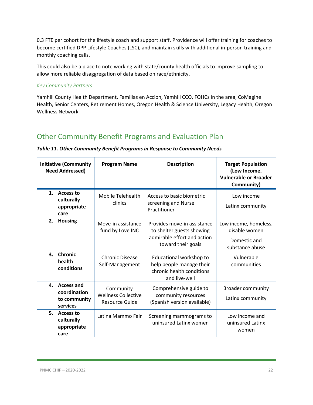0.3 FTE per cohort for the lifestyle coach and support staff. Providence will offer training for coaches to become certified DPP Lifestyle Coaches (LSC), and maintain skills with additional in-person training and monthly coaching calls.

This could also be a place to note working with state/county health officials to improve sampling to allow more reliable disaggregation of data based on race/ethnicity.

#### *Key Community Partners*

Yamhill County Health Department, Familias en Accion, Yamhill CCO, FQHCs in the area, CoMagine Health, Senior Centers, Retirement Homes, Oregon Health & Science University, Legacy Health, Oregon Wellness Network

## <span id="page-21-0"></span>Other Community Benefit Programs and Evaluation Plan

#### *Table 11. Other Community Benefit Programs in Response to Community Needs*

|                | <b>Initiative (Community</b><br><b>Need Addressed)</b>    | <b>Program Name</b>                                              | <b>Description</b>                                                                                            | <b>Target Population</b><br>(Low Income,<br><b>Vulnerable or Broader</b><br>Community) |
|----------------|-----------------------------------------------------------|------------------------------------------------------------------|---------------------------------------------------------------------------------------------------------------|----------------------------------------------------------------------------------------|
| $\mathbf{1}$ . | <b>Access to</b><br>culturally<br>appropriate<br>care     | Mobile Telehealth<br>clinics                                     | Access to basic biometric<br>screening and Nurse<br>Practitioner                                              | Low income<br>Latinx community                                                         |
| 2.             | <b>Housing</b>                                            | Move-in assistance<br>fund by Love INC                           | Provides move-in assistance<br>to shelter guests showing<br>admirable effort and action<br>toward their goals | Low income, homeless,<br>disable women<br>Domestic and<br>substance abuse              |
| 3.             | <b>Chronic</b><br>health<br>conditions                    | <b>Chronic Disease</b><br>Self-Management                        | Educational workshop to<br>help people manage their<br>chronic health conditions<br>and live-well             | Vulnerable<br>communities                                                              |
|                | 4. Access and<br>coordination<br>to community<br>services | Community<br><b>Wellness Collective</b><br><b>Resource Guide</b> | Comprehensive guide to<br>community resources<br>(Spanish version available)                                  | <b>Broader community</b><br>Latinx community                                           |
| 5.             | <b>Access to</b><br>culturally<br>appropriate<br>care     | Latina Mammo Fair                                                | Screening mammograms to<br>uninsured Latinx women                                                             | Low income and<br>uninsured Latinx<br>women                                            |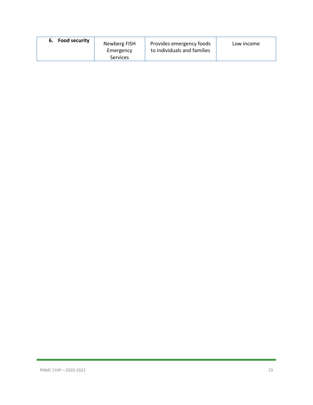| <b>Food security</b><br>6.<br>Newberg FISH<br>Emergency<br><b>Services</b> | Provides emergency foods<br>to individuals and families | Low income |
|----------------------------------------------------------------------------|---------------------------------------------------------|------------|
|----------------------------------------------------------------------------|---------------------------------------------------------|------------|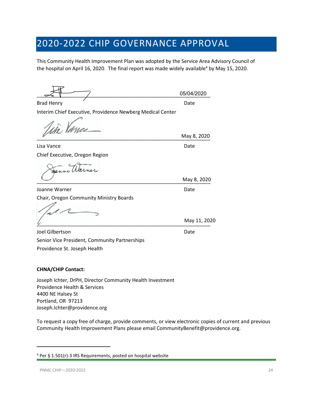## 2020-2022 CHIP GOVERNANCE APPROVAL

This Community Health Improvement Plan was adopted by the Service Area Advisory Council of the hospital on April 16, 2020. The final report was made widely available<sup>[4](#page-23-0)</sup> by May 15, 2020.

\_\_\_\_\_\_\_\_\_\_\_\_\_\_\_\_\_\_\_\_\_\_\_\_\_\_\_\_\_\_\_\_\_\_\_\_\_\_\_\_\_\_\_\_\_\_\_\_\_\_\_\_\_\_\_\_\_\_\_\_\_\_ 05/04/2020

Brad Henry Date and Date and Date and Date and Date and Date and Date and Date and Date and Date and Date and D Interim Chief Executive, Providence Newberg Medical Center

\_\_\_\_\_\_\_\_\_\_\_\_\_\_\_\_\_\_\_\_\_\_\_\_\_\_\_\_\_\_\_\_\_\_\_\_\_\_\_\_\_\_\_\_\_\_\_\_\_\_\_\_\_\_\_\_\_\_\_\_\_\_

 $\overline{\phantom{a}}$  May 8, 2020

Lisa Vance Date Date Date Date Date Chief Executive, Oregon Region

Joanne Warner National American Contract Contract Date Chair, Oregon Community Ministry Boards

 $\frac{U}{U}$  ividy 11, 20.

Joel Gilbertson Date Senior Vice President, Community Partnerships Providence St. Joseph Health

#### **CHNA/CHIP Contact:**

Joseph Ichter, DrPH, Director Community Health Investment Providence Health & Services 4400 NE Halsey St Portland, OR 97213 Joseph.Ichter@providence.org

To request a copy free of charge, provide comments, or view electronic copies of current and previous Community Health Improvement Plans please email CommunityBenefit@providence.org.

May 8, 2020

May 11, 2020

May 8, 2020

<span id="page-23-0"></span><sup>4</sup> Per § 1.501(r)-3 IRS Requirements, posted on hospital website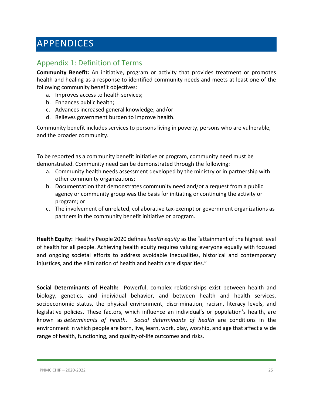## <span id="page-24-0"></span>APPENDICES

## <span id="page-24-1"></span>Appendix 1: Definition of Terms

**Community Benefit:** An initiative, program or activity that provides treatment or promotes health and healing as a response to identified community needs and meets at least one of the following community benefit objectives:

- a. Improves access to health services;
- b. Enhances public health;
- c. Advances increased general knowledge; and/or
- d. Relieves government burden to improve health.

Community benefit includes services to persons living in poverty, persons who are vulnerable, and the broader community.

To be reported as a community benefit initiative or program, community need must be demonstrated. Community need can be demonstrated through the following:

- a. Community health needs assessment developed by the ministry or in partnership with other community organizations;
- b. Documentation that demonstrates community need and/or a request from a public agency or community group was the basis for initiating or continuing the activity or program; or
- c. The involvement of unrelated, collaborative tax-exempt or government organizations as partners in the community benefit initiative or program.

**Health Equity:** Healthy People 2020 defines *health equity* as the "attainment of the highest level of health for all people. Achieving health equity requires valuing everyone equally with focused and ongoing societal efforts to address avoidable inequalities, historical and contemporary injustices, and the elimination of health and health care disparities."

**Social Determinants of Health:** Powerful, complex relationships exist between health and biology, genetics, and individual behavior, and between health and health services, socioeconomic status, the physical environment, discrimination, racism, literacy levels, and legislative policies. These factors, which influence an individual's or population's health, are known as *determinants of health*. *Social determinants of health* are conditions in the environment in which people are born, live, learn, work, play, worship, and age that affect a wide range of health, functioning, and quality-of-life outcomes and risks.